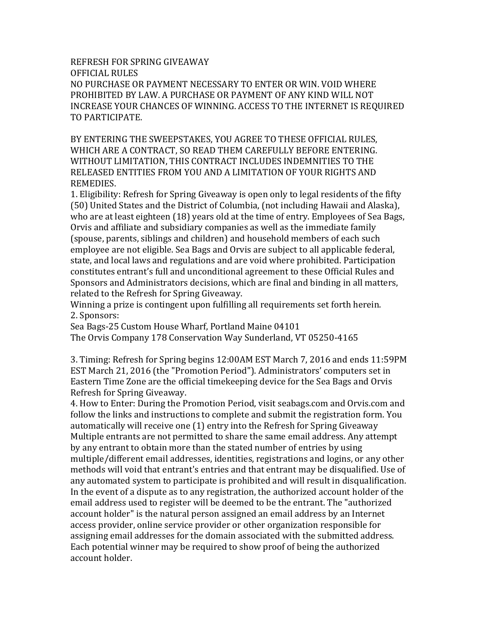REFRESH FOR SPRING GIVEAWAY OFFICIAL RULES NO PURCHASE OR PAYMENT NECESSARY TO ENTER OR WIN. VOID WHERE PROHIBITED BY LAW. A PURCHASE OR PAYMENT OF ANY KIND WILL NOT INCREASE YOUR CHANCES OF WINNING. ACCESS TO THE INTERNET IS REQUIRED TO PARTICIPATE.

BY ENTERING THE SWEEPSTAKES, YOU AGREE TO THESE OFFICIAL RULES, WHICH ARE A CONTRACT, SO READ THEM CAREFULLY BEFORE ENTERING. WITHOUT LIMITATION, THIS CONTRACT INCLUDES INDEMNITIES TO THE RELEASED ENTITIES FROM YOU AND A LIMITATION OF YOUR RIGHTS AND REMEDIES.

1. Eligibility: Refresh for Spring Giveaway is open only to legal residents of the fifty (50) United States and the District of Columbia, (not including Hawaii and Alaska), who are at least eighteen (18) years old at the time of entry. Employees of Sea Bags, Orvis and affiliate and subsidiary companies as well as the immediate family (spouse, parents, siblings and children) and household members of each such employee are not eligible. Sea Bags and Orvis are subject to all applicable federal, state, and local laws and regulations and are void where prohibited. Participation constitutes entrant's full and unconditional agreement to these Official Rules and Sponsors and Administrators decisions, which are final and binding in all matters, related to the Refresh for Spring Giveaway.

Winning a prize is contingent upon fulfilling all requirements set forth herein. 2. Sponsors:

Sea Bags-25 Custom House Wharf, Portland Maine 04101 The Orvis Company 178 Conservation Way Sunderland, VT 05250-4165

3. Timing: Refresh for Spring begins 12:00AM EST March 7, 2016 and ends 11:59PM EST March 21, 2016 (the "Promotion Period"). Administrators' computers set in Eastern Time Zone are the official timekeeping device for the Sea Bags and Orvis Refresh for Spring Giveaway.

4. How to Enter: During the Promotion Period, visit seabags.com and Orvis.com and follow the links and instructions to complete and submit the registration form. You automatically will receive one (1) entry into the Refresh for Spring Giveaway Multiple entrants are not permitted to share the same email address. Any attempt by any entrant to obtain more than the stated number of entries by using multiple/different email addresses, identities, registrations and logins, or any other methods will void that entrant's entries and that entrant may be disqualified. Use of any automated system to participate is prohibited and will result in disqualification. In the event of a dispute as to any registration, the authorized account holder of the email address used to register will be deemed to be the entrant. The "authorized account holder" is the natural person assigned an email address by an Internet access provider, online service provider or other organization responsible for assigning email addresses for the domain associated with the submitted address. Each potential winner may be required to show proof of being the authorized account holder.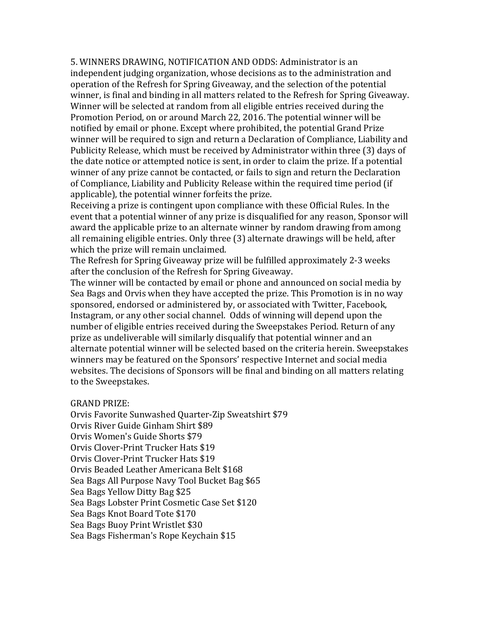5. WINNERS DRAWING, NOTIFICATION AND ODDS: Administrator is an independent judging organization, whose decisions as to the administration and operation of the Refresh for Spring Giveaway, and the selection of the potential winner, is final and binding in all matters related to the Refresh for Spring Giveaway. Winner will be selected at random from all eligible entries received during the Promotion Period, on or around March 22, 2016. The potential winner will be notified by email or phone. Except where prohibited, the potential Grand Prize winner will be required to sign and return a Declaration of Compliance, Liability and Publicity Release, which must be received by Administrator within three (3) days of the date notice or attempted notice is sent, in order to claim the prize. If a potential winner of any prize cannot be contacted, or fails to sign and return the Declaration of Compliance, Liability and Publicity Release within the required time period (if applicable), the potential winner forfeits the prize.

Receiving a prize is contingent upon compliance with these Official Rules. In the event that a potential winner of any prize is disqualified for any reason, Sponsor will award the applicable prize to an alternate winner by random drawing from among all remaining eligible entries. Only three (3) alternate drawings will be held, after which the prize will remain unclaimed.

The Refresh for Spring Giveaway prize will be fulfilled approximately 2-3 weeks after the conclusion of the Refresh for Spring Giveaway.

The winner will be contacted by email or phone and announced on social media by Sea Bags and Orvis when they have accepted the prize. This Promotion is in no way sponsored, endorsed or administered by, or associated with Twitter, Facebook, Instagram, or any other social channel. Odds of winning will depend upon the number of eligible entries received during the Sweepstakes Period. Return of any prize as undeliverable will similarly disqualify that potential winner and an alternate potential winner will be selected based on the criteria herein. Sweepstakes winners may be featured on the Sponsors' respective Internet and social media websites. The decisions of Sponsors will be final and binding on all matters relating to the Sweepstakes.

## GRAND PRIZE:

Orvis Favorite Sunwashed Quarter-Zip Sweatshirt \$79 Orvis River Guide Ginham Shirt \$89 Orvis Women's Guide Shorts \$79 Orvis Clover-Print Trucker Hats \$19 Orvis Clover-Print Trucker Hats \$19 Orvis Beaded Leather Americana Belt \$168 Sea Bags All Purpose Navy Tool Bucket Bag \$65 Sea Bags Yellow Ditty Bag \$25 Sea Bags Lobster Print Cosmetic Case Set \$120 Sea Bags Knot Board Tote \$170 Sea Bags Buoy Print Wristlet \$30 Sea Bags Fisherman's Rope Keychain \$15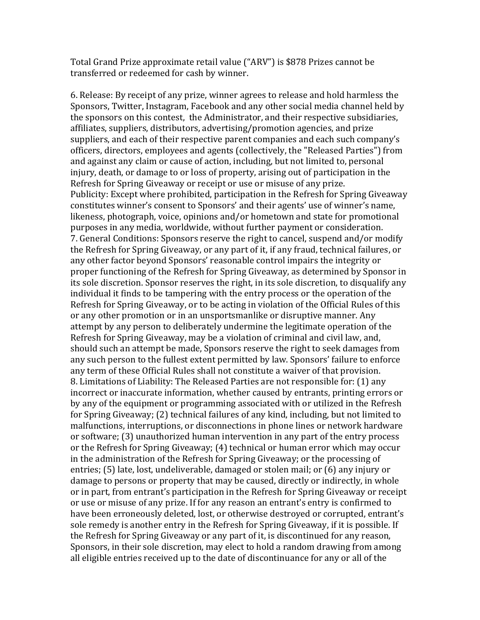Total Grand Prize approximate retail value ("ARV") is \$878 Prizes cannot be transferred or redeemed for cash by winner.

6. Release: By receipt of any prize, winner agrees to release and hold harmless the Sponsors, Twitter, Instagram, Facebook and any other social media channel held by the sponsors on this contest, the Administrator, and their respective subsidiaries, affiliates, suppliers, distributors, advertising/promotion agencies, and prize suppliers, and each of their respective parent companies and each such company's officers, directors, employees and agents (collectively, the "Released Parties") from and against any claim or cause of action, including, but not limited to, personal injury, death, or damage to or loss of property, arising out of participation in the Refresh for Spring Giveaway or receipt or use or misuse of any prize. Publicity: Except where prohibited, participation in the Refresh for Spring Giveaway constitutes winner's consent to Sponsors' and their agents' use of winner's name, likeness, photograph, voice, opinions and/or hometown and state for promotional purposes in any media, worldwide, without further payment or consideration. 7. General Conditions: Sponsors reserve the right to cancel, suspend and/or modify the Refresh for Spring Giveaway, or any part of it, if any fraud, technical failures, or any other factor beyond Sponsors' reasonable control impairs the integrity or proper functioning of the Refresh for Spring Giveaway, as determined by Sponsor in its sole discretion. Sponsor reserves the right, in its sole discretion, to disqualify any individual it finds to be tampering with the entry process or the operation of the Refresh for Spring Giveaway, or to be acting in violation of the Official Rules of this or any other promotion or in an unsportsmanlike or disruptive manner. Any attempt by any person to deliberately undermine the legitimate operation of the Refresh for Spring Giveaway, may be a violation of criminal and civil law, and, should such an attempt be made, Sponsors reserve the right to seek damages from any such person to the fullest extent permitted by law. Sponsors' failure to enforce any term of these Official Rules shall not constitute a waiver of that provision. 8. Limitations of Liability: The Released Parties are not responsible for: (1) any incorrect or inaccurate information, whether caused by entrants, printing errors or by any of the equipment or programming associated with or utilized in the Refresh for Spring Giveaway; (2) technical failures of any kind, including, but not limited to malfunctions, interruptions, or disconnections in phone lines or network hardware or software; (3) unauthorized human intervention in any part of the entry process or the Refresh for Spring Giveaway; (4) technical or human error which may occur in the administration of the Refresh for Spring Giveaway; or the processing of entries; (5) late, lost, undeliverable, damaged or stolen mail; or (6) any injury or damage to persons or property that may be caused, directly or indirectly, in whole or in part, from entrant's participation in the Refresh for Spring Giveaway or receipt or use or misuse of any prize. If for any reason an entrant's entry is confirmed to have been erroneously deleted, lost, or otherwise destroyed or corrupted, entrant's sole remedy is another entry in the Refresh for Spring Giveaway, if it is possible. If the Refresh for Spring Giveaway or any part of it, is discontinued for any reason, Sponsors, in their sole discretion, may elect to hold a random drawing from among all eligible entries received up to the date of discontinuance for any or all of the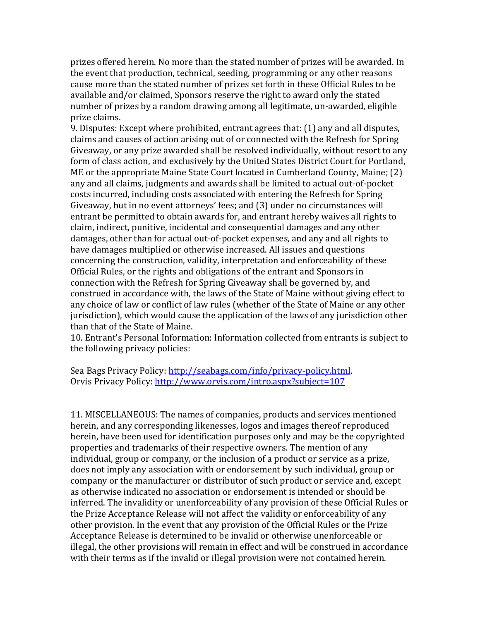prizes offered herein. No more than the stated number of prizes will be awarded. In the event that production, technical, seeding, programming or any other reasons cause more than the stated number of prizes set forth in these Official Rules to be available and/or claimed, Sponsors reserve the right to award only the stated number of prizes by a random drawing among all legitimate, un-awarded, eligible prize claims.

9. Disputes: Except where prohibited, entrant agrees that: (1) any and all disputes, claims and causes of action arising out of or connected with the Refresh for Spring Giveaway, or any prize awarded shall be resolved individually, without resort to any form of class action, and exclusively by the United States District Court for Portland, ME or the appropriate Maine State Court located in Cumberland County, Maine; (2) any and all claims, judgments and awards shall be limited to actual out-of-pocket costs incurred, including costs associated with entering the Refresh for Spring Giveaway, but in no event attorneys' fees; and (3) under no circumstances will entrant be permitted to obtain awards for, and entrant hereby waives all rights to claim, indirect, punitive, incidental and consequential damages and any other damages, other than for actual out-of-pocket expenses, and any and all rights to have damages multiplied or otherwise increased. All issues and questions concerning the construction, validity, interpretation and enforceability of these Official Rules, or the rights and obligations of the entrant and Sponsors in connection with the Refresh for Spring Giveaway shall be governed by, and construed in accordance with, the laws of the State of Maine without giving effect to any choice of law or conflict of law rules (whether of the State of Maine or any other jurisdiction), which would cause the application of the laws of any jurisdiction other than that of the State of Maine.

10. Entrant's Personal Information: Information collected from entrants is subject to the following privacy policies:

Sea Bags Privacy Policy: [http://seabags.com/info/privacy-policy.html.](http://seabags.com/info/privacy-policy.html) Orvis Privacy Policy: <http://www.orvis.com/intro.aspx?subject=107>

11. MISCELLANEOUS: The names of companies, products and services mentioned herein, and any corresponding likenesses, logos and images thereof reproduced herein, have been used for identification purposes only and may be the copyrighted properties and trademarks of their respective owners. The mention of any individual, group or company, or the inclusion of a product or service as a prize, does not imply any association with or endorsement by such individual, group or company or the manufacturer or distributor of such product or service and, except as otherwise indicated no association or endorsement is intended or should be inferred. The invalidity or unenforceability of any provision of these Official Rules or the Prize Acceptance Release will not affect the validity or enforceability of any other provision. In the event that any provision of the Official Rules or the Prize Acceptance Release is determined to be invalid or otherwise unenforceable or illegal, the other provisions will remain in effect and will be construed in accordance with their terms as if the invalid or illegal provision were not contained herein.